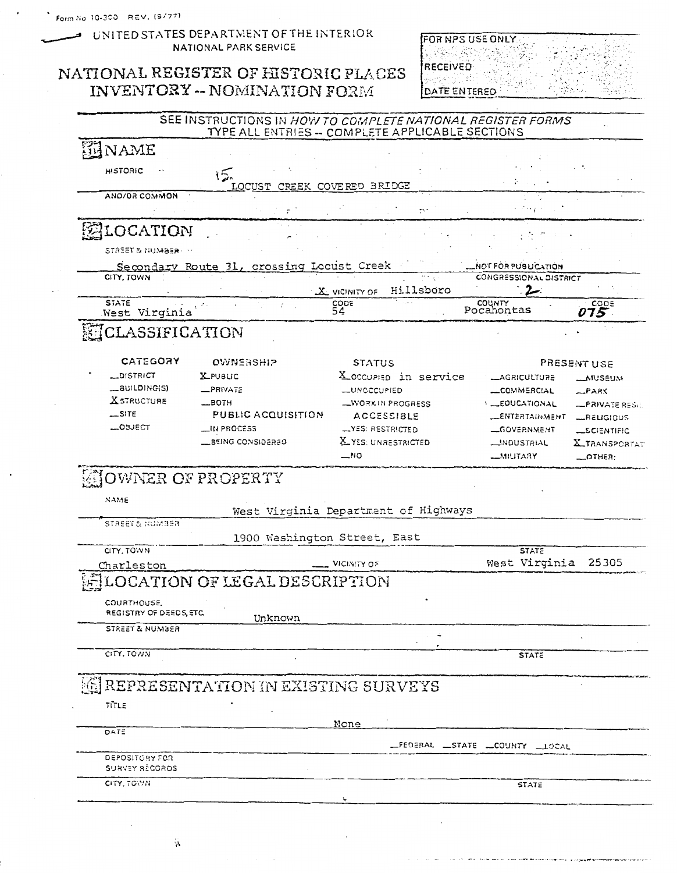UNITED STATES DEPARTMENT OF THE INTERIOR NATIONAL PARK SERVICE

## NATIONAL REGISTER OF HISTORIC PLACES INVENTORY -- NOMINATION FORM

FOR NPS USE ONLY. **See Seas** RECEIVED DATE ENTERED

| MAME                                   |                                           |                                      |       |                                  |                                  |
|----------------------------------------|-------------------------------------------|--------------------------------------|-------|----------------------------------|----------------------------------|
|                                        |                                           |                                      |       |                                  |                                  |
| <b>HISTORIC</b>                        | 15.                                       |                                      |       |                                  |                                  |
| AND/OR COMMON                          | LOCUST                                    | CREEK COVERED BRIDGE                 |       |                                  |                                  |
|                                        |                                           | ŗ٠                                   |       | r Sergie                         |                                  |
| LOCATION                               |                                           |                                      |       |                                  |                                  |
| <b>STREET &amp; NUMBER:</b>            |                                           |                                      |       |                                  |                                  |
|                                        | Secondary Route 31, crossing Locust Creek |                                      |       | NOT FOR PUBLICATION              |                                  |
| CITY, TOWN                             |                                           | Hillsboro<br><b>X</b> VICINITY OF    | ن ۽ م | CONGRESSIONAL DISTRICT<br>$\sim$ |                                  |
| <b>STATE</b><br>West Virginia          | $\tilde{t}$                               | CODE<br>54                           |       | COUNTY<br>Pocahontas             | $\overline{075}^{\frac{COC}{2}}$ |
| CLASSIFICATION                         |                                           |                                      |       |                                  |                                  |
| CATEGORY                               | <b>OWNERSHIP</b>                          | <b>STATUS</b>                        |       |                                  | PRESENT USE                      |
| OISTRICT                               | <b>X</b> PUBLIC                           | X occupiso in service                |       | <b>_AGRICULTURE</b>              | <b>__MUSEUM</b>                  |
| Lauilding(S)                           | RIVATE                                    | <b>__UNOCCUPIED</b>                  |       | COMMERCIAL                       | $-$ PARX                         |
| <b>XSTRUCTURE</b>                      | $\equiv$ BOTH                             | WORK IN PROGRESS                     |       | <b>LEDUCATIONAL</b>              | -PRIVATE RES.                    |
| $\mathcal{L}$ site                     | PUBLIC ACQUISITION                        | <b>ACCESSIBLE</b>                    |       | <b>LENTERTAINMENT</b>            | <b>LRELIGIOUS</b>                |
| _osject                                | _IN PROCESS                               | -YES: RESTRICTED                     |       | <b>_GOVERNMENT</b>               | <b>_SCIENTIFIC</b>               |
|                                        | EEING CONSIDERED                          | X YES: UNRESTRICTED                  |       | <b>__INDUSTRIAL</b>              | <b>X_TRANSPORTAT</b>             |
|                                        |                                           | $-$ NO                               |       | <u>__MILITARY</u>                | $-$ OTHER:                       |
| <b>JOWNER OF PROPERTY</b>              |                                           |                                      |       |                                  |                                  |
| NAME                                   |                                           |                                      |       |                                  |                                  |
| <b>STREET &amp; NUMBER</b>             |                                           | West Virginia Department of Highways |       |                                  |                                  |
|                                        | 1900 Washington Street, East              |                                      |       |                                  |                                  |
| CITY, TOWN                             |                                           |                                      |       | <b>STATE</b>                     |                                  |
| Charleston                             |                                           | VICINITY OF                          |       | West Virginia                    | 25305                            |
|                                        | <b>DCATION OF LEGAL DESCRIPTION</b>       |                                      |       |                                  |                                  |
| COURTHOUSE.<br>REGISTRY OF DEEDS, ETC. |                                           |                                      |       |                                  |                                  |
| STREET & NUMBER                        | Unknown                                   |                                      |       |                                  |                                  |
|                                        |                                           |                                      |       |                                  |                                  |
| CITY, TOWN                             |                                           |                                      |       | <b>STATE</b>                     |                                  |
|                                        | REPRESENTATION IN EXISTING SURVEYS        |                                      |       |                                  |                                  |
| TITLE                                  |                                           |                                      |       |                                  |                                  |
|                                        |                                           | None                                 |       |                                  |                                  |
| DATE                                   |                                           |                                      |       | FEDERAL STATE LOUNTY LLOCAL      |                                  |
|                                        |                                           |                                      |       |                                  |                                  |
| DEPOSITORY FOR                         |                                           |                                      |       |                                  |                                  |
| SURVEY RÉCORDS<br>CITY, TOWN           |                                           |                                      |       | <b>STATE</b>                     |                                  |

 $\frac{1}{2}$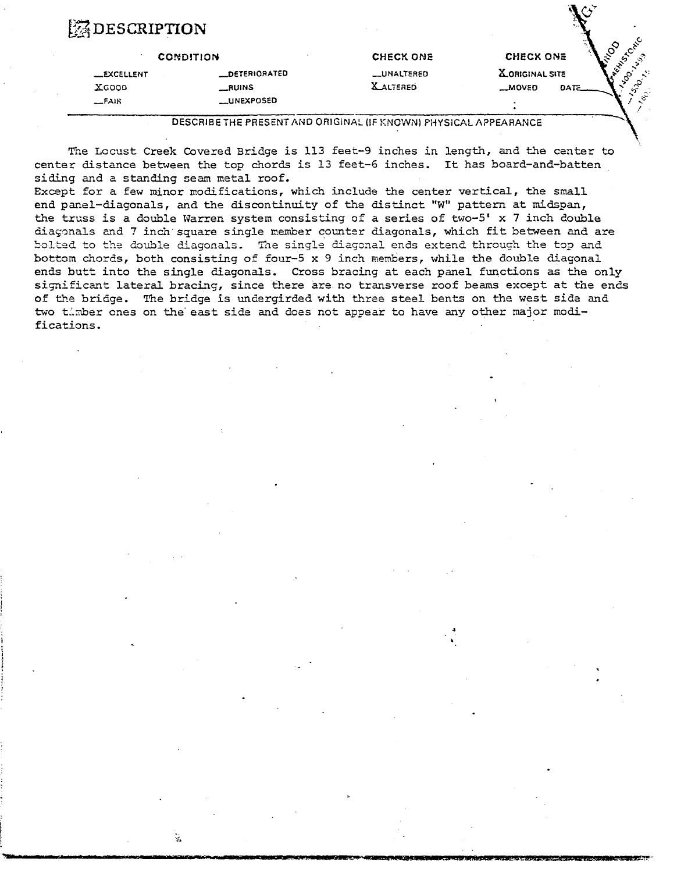## **ZDESCRIPTION**

ä.

|                   | <b>CONDITION</b>  | <b>CHECK ONE</b>  | <b>CHECK ONE</b>      |     |
|-------------------|-------------------|-------------------|-----------------------|-----|
| <b>LEXCELLENT</b> | DETERIORATED      | <b>LUNALTERED</b> | <b>LORIGINAL SITE</b> | - 7 |
| XGOOD             | $\equiv$ RUINS    | <b>XALTERED</b>   | $-MOVED$<br>DATE      |     |
| E <sub>AB</sub>   | <b>LUNEXPOSED</b> |                   |                       |     |

**DESCRIBE THE PRESENT AND ORIGINAL (IF KNOWN) PHYSICAL APPEARANCE** 

**The** Locust Creek Covered Bridge is 113 feet-9 inches in length, **and** the center to center distance between **the** top chords is 13 feet-6 inches. It has board-and-batten siding and a standing seam metal roof.

Except for a few minor modifications, which include the center vertical, the small end panel-diagonals, and the discontinuity of the distinct "W" pattern at midspan, the truss is a double Warren system consisting of a series of two-5' x 7 inch double fiag~nals ad 7 inch square single member counter diagonals, which **fit** between and are kolted to the double diagonals. The single diagonal ends extend through the top and bottom chords, both consisting of four-5 x 9 inch members, while the double diagonal ends **butt** into the single diagonals. Cross brachg at each panel functions as **the** only significant lateral bracing, since there are no transverse roof beams except at the ends of the bridge. The bridge is undergirded with three steel bents on the west sida and two tlmber ones on the east side and does not appear to have any other major modifications.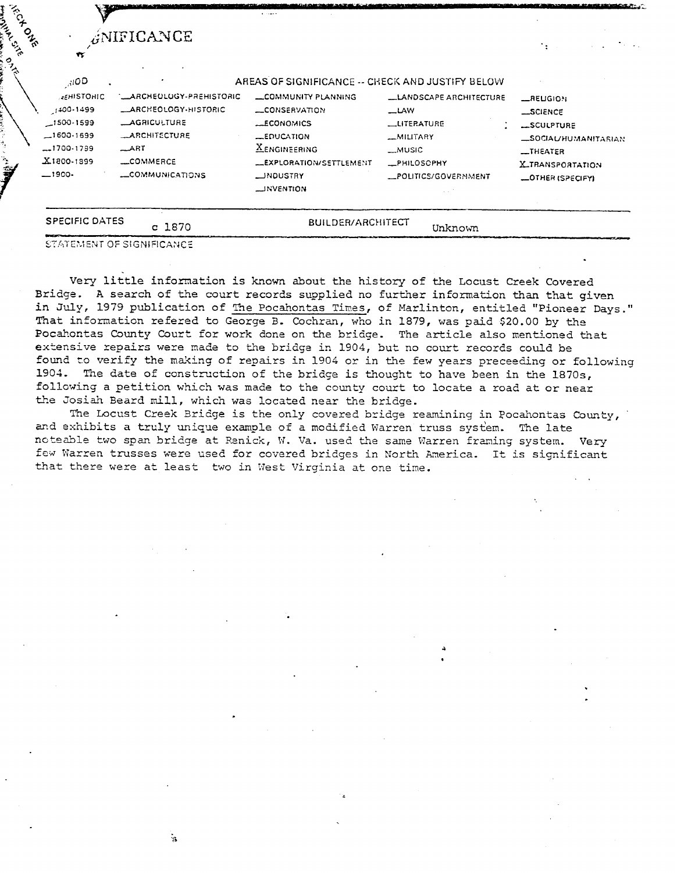| <b>Hickory</b><br><b>CALCS</b><br>್ಸ್ಡ | ĸ                                                                                                            | ANIFICANCE                                                                                                                |                                                                                                                                                                                           |                                                                                               | $\cdot$ .                                                                                                                 |
|----------------------------------------|--------------------------------------------------------------------------------------------------------------|---------------------------------------------------------------------------------------------------------------------------|-------------------------------------------------------------------------------------------------------------------------------------------------------------------------------------------|-----------------------------------------------------------------------------------------------|---------------------------------------------------------------------------------------------------------------------------|
|                                        | 3100<br><b>AEMISTONIC</b><br>$1400 - 1499$<br>$-1500 - 1599$<br>$-1600-1699$<br>$-1700.1799$<br>$X1800-1899$ | '__ARCHEDLUGY-PREHISTORIC<br><b>LARCHEOLOGY-HISTORIC</b><br><b>_AGRICULTURE</b><br>_ARCHITECTURE<br>$\_ART$<br>LLCOMMERCE | AREAS OF SIGNIFICANCE -- CHECK AND JUSTIFY BELOW<br><b>LCOMMUNITY PLANNING</b><br>LCONSERVATION<br><b>ECONOMICS</b><br>EQUCATION<br><b>XENGINEERING</b><br><b>LEXPLORATION/SETTLEMENT</b> | LLANDSCAPE ARCHITECTURE<br>$\equiv$ LAW<br>_UTERATURE<br>_MILITARY<br>$-MUSIC$<br>_PHILOSOPHY | <b>_RELIGION</b><br><b>_SCIENCE</b><br>SCULPTURE<br><b>LSOCIAL/HUMANITARIAN</b><br>$I$ THEATER<br><b>X_TRANSPORTATION</b> |
|                                        | $-1900-$<br><b>SPECIFIC DATES</b>                                                                            | LOMMUNICATIONS<br>c 1870                                                                                                  | <b>LINDUSTRY</b><br><b>LINVENTION</b><br><b>BUILDER/ARCHITECT</b>                                                                                                                         | _POLITICS/GOVERNMENT<br>Unknown                                                               | <b>LOTHER (SPECIFY)</b>                                                                                                   |

Andrew British

 $\frac{3}{2}$ 

Very little information is known about the history of the Locust Creek Covered Bridge. A search of the court records supplied no further information than that given in July, 1979 publication of The Pocahontas Times, of Marlinton, entitled "Pioneer Days." That information refered to George B. Cochran, who in 1879, was paid \$20.00 by the Pocahontas County Court for work done on the bridge. The article also mentioned that extensive repairs were made to the bridge in 1904, but no court records could be found to verify the making of repairs in 1904 or in the few years preceeding or following 1904. The date of construction of the bridge is thought to have been in the 1870s, following a petition which was made to the county court to locate a road at or near the Josiah Beard mill, which was located near the bridge.

The Locust Creek Bridge is the only covered bridge reamining in Pocahontas County, and exhibits a truly unique example of a modified Warren truss system. The late noteable two span bridge at Renick, W. Va. used the same Warren framing system. Very few Warren trusses were used for covered bridges in North America. It is significant that there were at least two in West Virginia at one time.

 $\frac{1}{2}$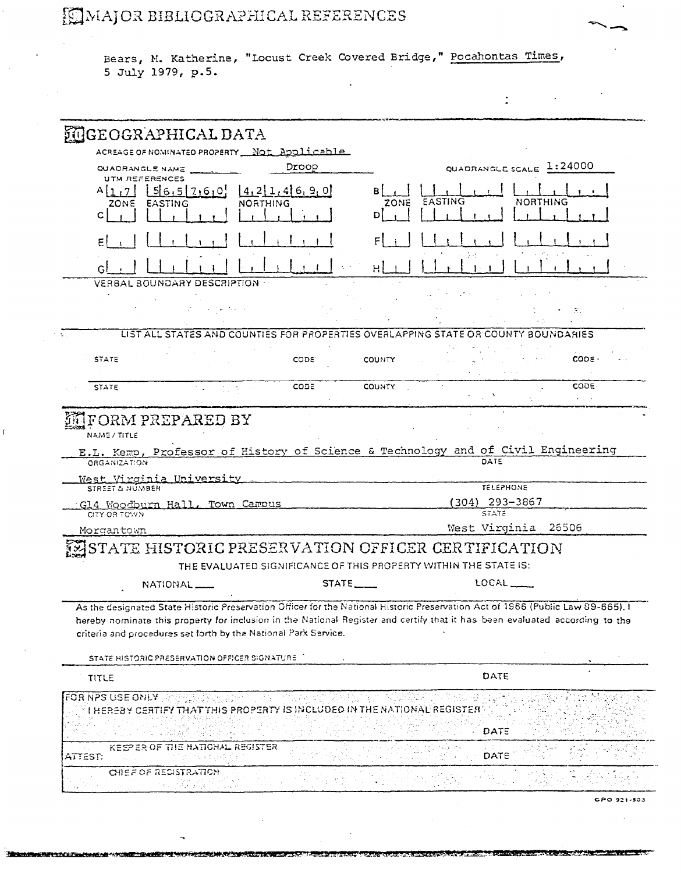## **EMMAJOR BIBLIOGRAPHICAL REFERENCES**

Bears, M. Katherine, "Locust Creek Covered Bridge," Pocahontas Times, 5 July 1979, p.5.

 $\ddot{\phantom{a}}$ 

| <b>MIGEOGRAPHICAL DATA</b>                                                                                                                                                                      |                             |
|-------------------------------------------------------------------------------------------------------------------------------------------------------------------------------------------------|-----------------------------|
| ACREAGE OF NOMINATED PROPERTY Not Applicable                                                                                                                                                    |                             |
| Droop<br>QUADRANGLE NAME                                                                                                                                                                        | QUADRANGLE SCALE 1:24000    |
| UTM REFERENCES<br> 4,2 1,4 6,9,0                                                                                                                                                                |                             |
| 56,517,6,01<br><b>EASTING</b><br><b>NORTHING</b><br>20NE                                                                                                                                        | EASTING<br>NORTHING<br>ZONE |
|                                                                                                                                                                                                 |                             |
|                                                                                                                                                                                                 |                             |
|                                                                                                                                                                                                 |                             |
| VERBAL BOUNDARY DESCRIPTION .                                                                                                                                                                   |                             |
|                                                                                                                                                                                                 |                             |
| and the contract of                                                                                                                                                                             | 37                          |
| LIST ALL STATES AND COUNTIES FOR PROPERTIES OVERLAPPING STATE OR COUNTY BOUNDARIES                                                                                                              |                             |
|                                                                                                                                                                                                 |                             |
| <b>STATE</b><br>CODE.                                                                                                                                                                           | CODE<br>COUNTY              |
| CODE<br><b>STATE</b><br>$\mathcal{A}^{\mathcal{A}}$ , $\mathcal{A}^{\mathcal{A}}$                                                                                                               | CODE.<br><b>COUNTY</b>      |
| FORM PREPARED BY                                                                                                                                                                                |                             |
| NAME/TITLE                                                                                                                                                                                      |                             |
| E.L. Kemp, Professor of History of Science & Technology and of Civil Engineering                                                                                                                |                             |
| ORGANIZATION                                                                                                                                                                                    | DATE                        |
| West Virginia University<br>STREET & NUMBER                                                                                                                                                     | <b>TELEPHONE</b>            |
| G14 Woodburn Hall, Town Campus                                                                                                                                                                  | (304) 293-3867              |
| CITY OR TOWN                                                                                                                                                                                    | <b>STATE</b>                |
| Morgantown                                                                                                                                                                                      | West Virginia 26506         |
| STATE HISTORIC PRESERVATION OFFICER CERTIFICATION                                                                                                                                               |                             |
| THE EVALUATED SIGNIFICANCE OF THIS PROPERTY WITHIN THE STATE IS:                                                                                                                                |                             |
| $STATE$ <sub>_____</sub><br>NATIONAL <sub>-</sub>                                                                                                                                               | LOCAL _____                 |
| As the designated State Historic Preservation Officer for the National Historic Preservation Act of 1966 (Public Law 89-665), I                                                                 |                             |
| hereby nominate this property for inclusion in the National Register and certify that it has been evaluated according to the<br>criteria and procedures set forth by the National Park Service. |                             |
|                                                                                                                                                                                                 |                             |
| STATE HISTORIC PRESERVATION OFFICER SIGNATURE                                                                                                                                                   |                             |
| TITLE                                                                                                                                                                                           | DATE                        |
| FOR NPS USE ONLY AND SALE PORT<br>I HEREBY CERTIFY THAT THIS PROPERTY IS INCLUDED IN THE NATIONAL REGISTER                                                                                      |                             |
|                                                                                                                                                                                                 | DATE                        |
| KEEPER OF THE NATIONAL REGISTER<br>ATTEST.                                                                                                                                                      | DATE                        |
|                                                                                                                                                                                                 |                             |
| CHEF OF RECISTRATION                                                                                                                                                                            |                             |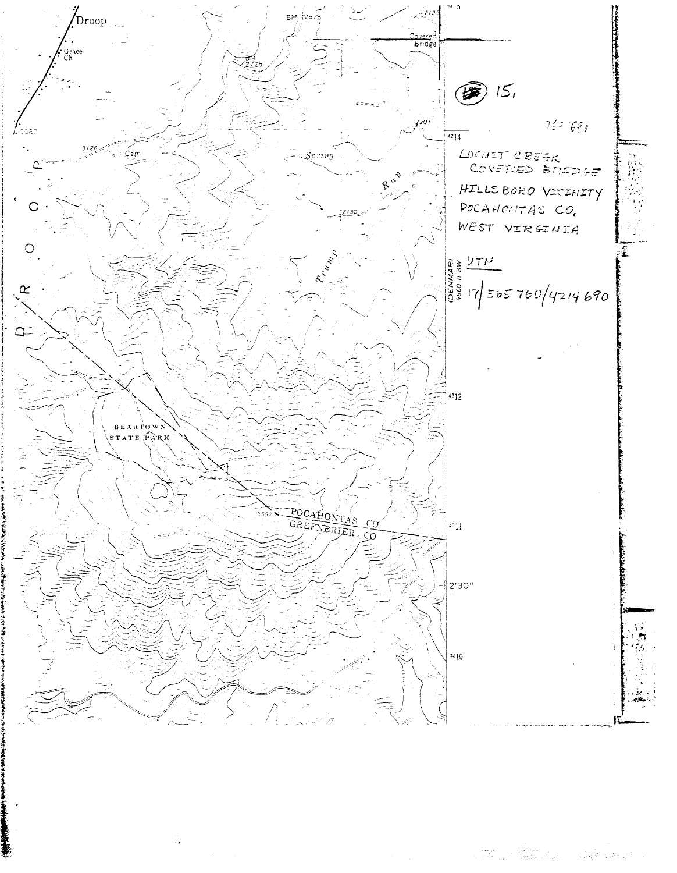

a de la construcción de la construcción.<br>A construcción de la construcción de la construcción de la construcción de la construcción de la construcción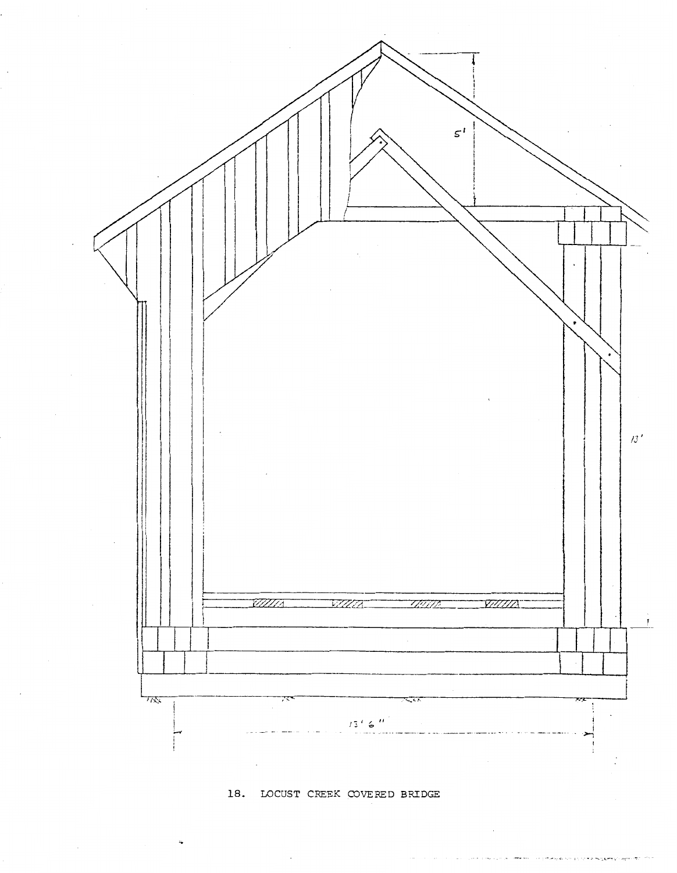

**18.** LOCUST CREEK COVERED BRIDGE

 $\sim$ į,  $-$ يهودينهم **COLLECTIVE POSSIBLE**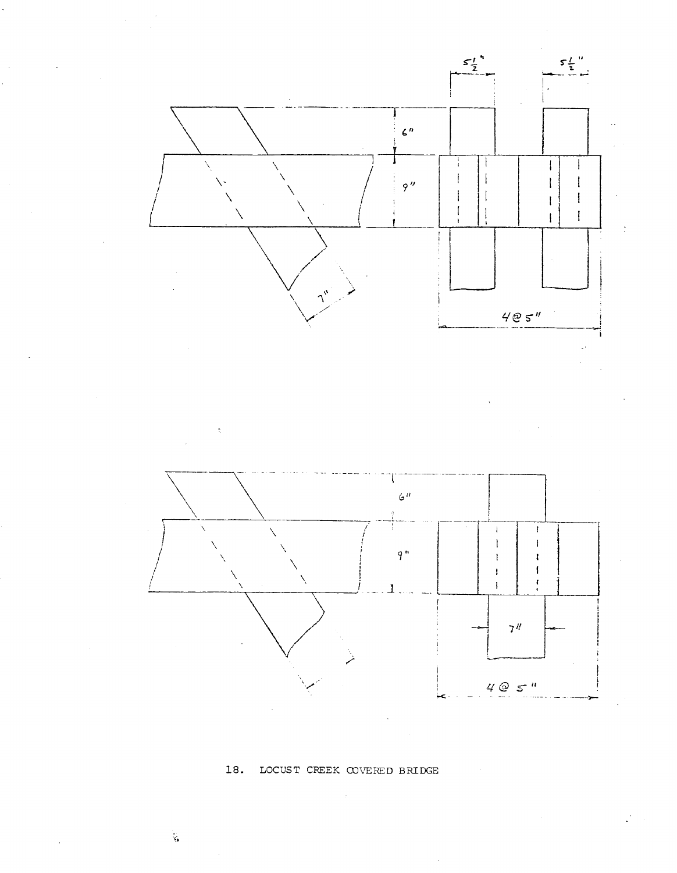

## 18. LOCUST CREEK COVERED BRIDGE

 $\zeta$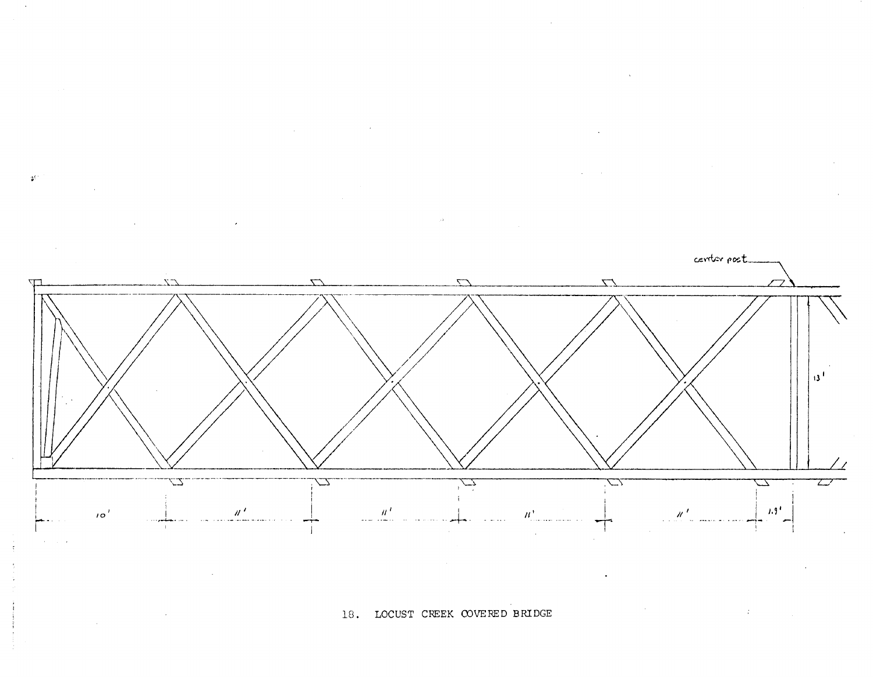$\mathfrak{P}^+$ 



18. LOCUST CREEK COVERED BRIDGE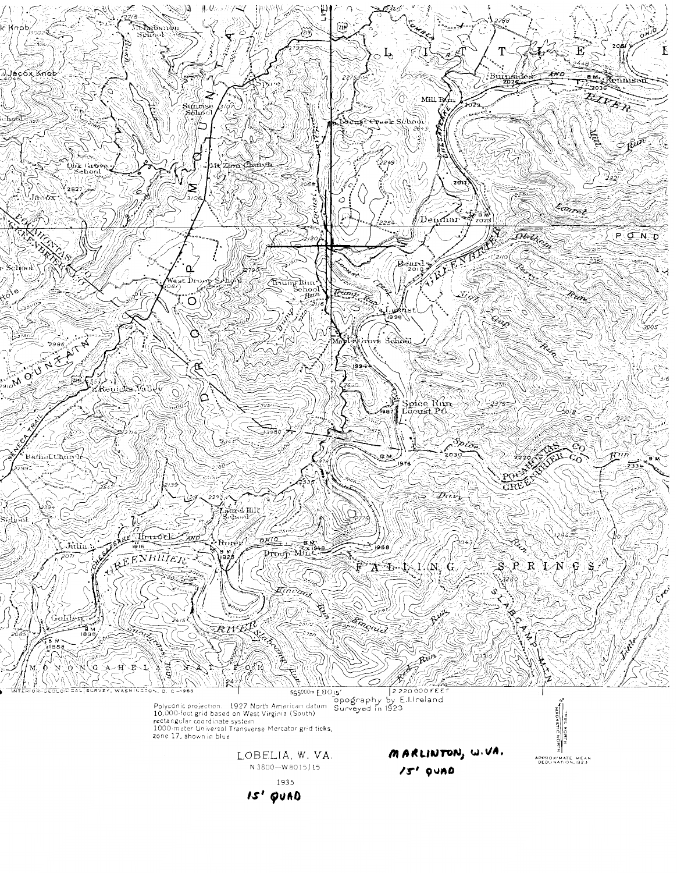